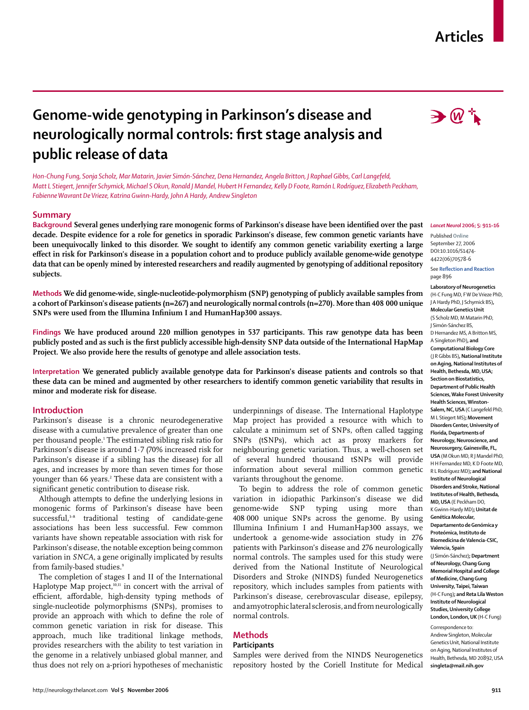## **Articles**

# **Genome-wide genotyping in Parkinson's disease and neurologically normal controls: fi rst stage analysis and public release of data**

 $\rightarrow$   $\mathbb{Q}$   $\uparrow$ 

*Hon-Chung Fung, Sonja Scholz, Mar Matarin, Javier Simón-Sánchez, Dena Hernandez, Angela Britton, J Raphael Gibbs, Carl Langefeld, Matt L Stiegert, Jennifer Schymick, Michael S Okun, Ronald J Mandel, Hubert H Fernandez, Kelly D Foote, Ramón L Rodríguez,Elizabeth Peckham, Fabienne Wavrant De Vrieze, Katrina Gwinn-Hardy, John A Hardy, Andrew Singleton*

### **Summary**

**Background** Several genes underlying rare monogenic forms of Parkinson's disease have been identified over the past **decade. Despite evidence for a role for genetics in sporadic Parkinson's disease, few common genetic variants have been unequivocally linked to this disorder. We sought to identify any common genetic variability exerting a large**  effect in risk for Parkinson's disease in a population cohort and to produce publicly available genome-wide genotype **data that can be openly mined by interested researchers and readily augmented by genotyping of additional repository subjects.**

**Methods We did genome-wide, single-nucleotide-polymorphism (SNP) genotyping of publicly available samples from a cohort of Parkinson's disease patients (n=267) and neurologically normal controls (n=270). More than 408 000 unique**  SNPs were used from the Illumina Infinium I and HumanHap300 assays.

**Findings We have produced around 220 million genotypes in 537 participants. This raw genotype data has been**  publicly posted and as such is the first publicly accessible high-density SNP data outside of the International HapMap **Project. We also provide here the results of genotype and allele association tests.**

**Interpretation We generated publicly available genotype data for Parkinson's disease patients and controls so that these data can be mined and augmented by other researchers to identify common genetic variability that results in minor and moderate risk for disease.** 

#### **Introduction**

Parkinson's disease is a chronic neurodegenerative disease with a cumulative prevalence of greater than one per thousand people.1 The estimated sibling risk ratio for Parkinson's disease is around 1·7 (70% increased risk for Parkinson's disease if a sibling has the disease) for all ages, and increases by more than seven times for those younger than 66 years.<sup>2</sup> These data are consistent with a significant genetic contribution to disease risk.

Although attempts to define the underlying lesions in monogenic forms of Parkinson's disease have been successful,<sup>3-8</sup> traditional testing of candidate-gene associations has been less successful. Few common variants have shown repeatable association with risk for Parkinson's disease, the notable exception being common variation in *SNCA*, a gene originally implicated by results from family-based studies.<sup>9</sup>

The completion of stages I and II of the International Haplotype Map project,<sup>10,11</sup> in concert with the arrival of efficient, affordable, high-density typing methods of single-nucleotide polymorphisms (SNPs), promises to provide an approach with which to define the role of common genetic variation in risk for disease. This approach, much like traditional linkage methods, provides researchers with the ability to test variation in the genome in a relatively unbiased global manner, and thus does not rely on a-priori hypotheses of mechanistic

underpinnings of disease. The International Haplotype Map project has provided a resource with which to calculate a minimum set of SNPs, often called tagging SNPs (tSNPs), which act as proxy markers for neighbouring genetic variation. Thus, a well-chosen set of several hundred thousand tSNPs will provide information about several million common genetic variants throughout the genome.

To begin to address the role of common genetic variation in idiopathic Parkinson's disease we did genome-wide SNP typing using more than 408 000 unique SNPs across the genome. By using Illumina Infinium I and HumanHap300 assays, we undertook a genome-wide association study in 276 patients with Parkinson's disease and 276 neurologically normal controls. The samples used for this study were derived from the National Institute of Neurological Disorders and Stroke (NINDS) funded Neurogenetics repository, which includes samples from patients with Parkinson's disease, cerebrovascular disease, epilepsy, and amyotrophic lateral sclerosis, and from neurologically normal controls.

## **Methods**

#### **Participants**

Samples were derived from the NINDS Neurogenetics repository hosted by the Coriell Institute for Medical

#### *Lancet Neurol* **2006; 5: 911–16**

Published **Online** September 27, 2006 DOI:10.1016/S1474- 4422(06)70578-6

#### **See Reflection and Reaction** page 896

**Laboratory of Neurogenetics**  (H-C Fung MD, F W De Vrieze PhD, J A Hardy PhD, J Schymick BS)**, Molecular Genetics Unit** (S Scholz MD, M Matarin PhD, J Simón-Sánchez BS, D Hernandez MS, A Britton MS, A Singleton PhD)**, and Computational Biology Core** (J R Gibbs BS)**, National Institute on Aging, National Institutes of Health, Bethesda, MD, USA; Section on Biostatistics, Department of Public Health Sciences, Wake Forest University Health Sciences, Winston-Salem, NC, USA** (C Langefeld PhD, M L Stiegert MS)**; Movement Disorders Center, University of Florida, Departments of Neurology, Neuroscience, and Neurosurgery, Gainesville, FL, USA** (M Okun MD, R J Mandel PhD, H H Fernandez MD, K D Foote MD, R L Rodríguez MD)**; and National Institute of Neurological Disorders and Stroke, National Institutes of Health, Bethesda, MD, USA** (E Peckham DO, K Gwinn-Hardy MD)**; Unitat de Genética Molecular, Departamento de Genómica y Proteómica, Instituto de Biomedicina de Valencia-CSIC, Valencia, Spain**  (J Simón-Sánchez)**; Department of Neurology, Chang Gung** 

**Memorial Hospital and College of Medicine, Chang Gung University, Taipei, Taiwan** (H-C Fung)**; and Reta Lila Weston Institute of Neurological Studies, University College London, London, UK** (H-C Fung)

Correspondence to: Andrew Singleton, Molecular Genetics Unit, National Institute on Aging, National Institutes of Health, Bethesda, MD 20892, USA **singleta@mail.nih.gov**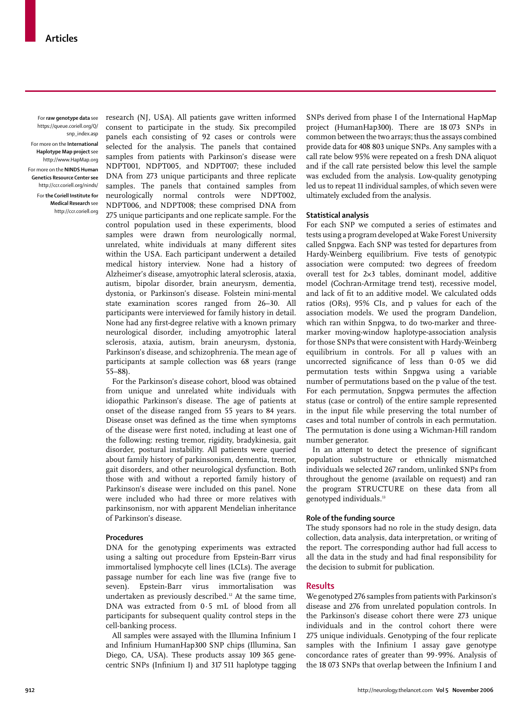For **raw genotype data** see https://queue.coriell.org/Q/ snp\_index.asp

For more on the **International Haplotype Map project** see http://www.HapMap.org

For more on the **NINDS Human Genetics Resource Center see**  http://ccr.coriell.org/ninds/ For **the Coriell Institute for** 

**Medical Research** see http://ccr.coriell.org research (NJ, USA). All patients gave written informed consent to participate in the study. Six precompiled panels each consisting of 92 cases or controls were selected for the analysis. The panels that contained samples from patients with Parkinson's disease were NDPT001, NDPT005, and NDPT007; these included DNA from 273 unique participants and three replicate samples. The panels that contained samples from neurologically normal controls were NDPT002, NDPT006, and NDPT008; these comprised DNA from 275 unique participants and one replicate sample. For the control population used in these experiments, blood samples were drawn from neurologically normal, unrelated, white individuals at many different sites within the USA. Each participant underwent a detailed medical history interview. None had a history of Alzheimer's disease, amyotrophic lateral sclerosis, ataxia, autism, bipolar disorder, brain aneurysm, dementia, dystonia, or Parkinson's disease. Folstein mini-mental state examination scores ranged from 26–30. All participants were interviewed for family history in detail. None had any first-degree relative with a known primary neurological disorder, including amyotrophic lateral sclerosis, ataxia, autism, brain aneurysm, dystonia, Parkinson's disease, and schizophrenia. The mean age of participants at sample collection was 68 years (range 55–88).

For the Parkinson's disease cohort, blood was obtained from unique and unrelated white individuals with idiopathic Parkinson's disease. The age of patients at onset of the disease ranged from 55 years to 84 years. Disease onset was defined as the time when symptoms of the disease were first noted, including at least one of the following: resting tremor, rigidity, bradykinesia, gait disorder, postural instability. All patients were queried about family history of parkinsonism, dementia, tremor, gait disorders, and other neurological dysfunction. Both those with and without a reported family history of Parkinson's disease were included on this panel. None were included who had three or more relatives with parkinsonism, nor with apparent Mendelian inheritance of Parkinson's disease.

### **Procedures**

DNA for the genotyping experiments was extracted using a salting out procedure from Epstein-Barr virus immortalised lymphocyte cell lines (LCLs). The average passage number for each line was five (range five to seven). Epstein-Barr virus immortalisation was undertaken as previously described.<sup>12</sup> At the same time, DNA was extracted from 0·5 mL of blood from all participants for subsequent quality control steps in the cell-banking process.

All samples were assayed with the Illumina Infinium I and Infinium HumanHap300 SNP chips (Illumina, San Diego, CA, USA). These products assay 109 365 genecentric SNPs (Infinium I) and 317 511 haplotype tagging SNPs derived from phase I of the International HapMap project (HumanHap300). There are 18 073 SNPs in common between the two arrays; thus the assays combined provide data for 408 803 unique SNPs. Any samples with a call rate below 95% were repeated on a fresh DNA aliquot and if the call rate persisted below this level the sample was excluded from the analysis. Low-quality genotyping led us to repeat 11 individual samples, of which seven were ultimately excluded from the analysis.

#### **Statistical analysis**

For each SNP we computed a series of estimates and tests using a program developed at Wake Forest University called Snpgwa. Each SNP was tested for departures from Hardy-Weinberg equilibrium. Five tests of genotypic association were computed: two degrees of freedom overall test for 2×3 tables, dominant model, additive model (Cochran-Armitage trend test), recessive model, and lack of fit to an additive model. We calculated odds ratios (ORs), 95% CIs, and p values for each of the association models. We used the program Dandelion, which ran within Snpgwa, to do two-marker and threemarker moving-window haplotype-association analysis for those SNPs that were consistent with Hardy-Weinberg equilibrium in controls. For all p values with an uncorrected significance of less than  $0.05$  we did permutation tests within Snpgwa using a variable number of permutations based on the p value of the test. For each permutation, Snpgwa permutes the affection status (case or control) of the entire sample represented in the input file while preserving the total number of cases and total number of controls in each permutation. The permutation is done using a Wichman-Hill random number generator.

In an attempt to detect the presence of significant population substructure or ethnically mismatched individuals we selected 267 random, unlinked SNPs from throughout the genome (available on request) and ran the program STRUCTURE on these data from all genotyped individuals.<sup>13</sup>

## **Role of the funding source**

The study sponsors had no role in the study design, data collection, data analysis, data interpretation, or writing of the report. The corresponding author had full access to all the data in the study and had final responsibility for the decision to submit for publication.

### **Results**

We genotyped 276 samples from patients with Parkinson's disease and 276 from unrelated population controls. In the Parkinson's disease cohort there were 273 unique individuals and in the control cohort there were 275 unique individuals. Genotyping of the four replicate samples with the Infinium I assay gave genotype concordance rates of greater than 99·99%. Analysis of the 18 073 SNPs that overlap between the Infinium I and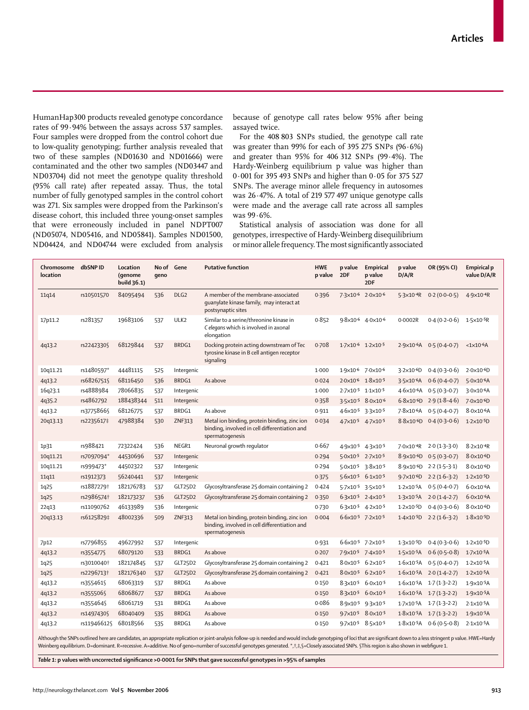HumanHap300 products revealed genotype concordance rates of 99·94% between the assays across 537 samples. Four samples were dropped from the control cohort due to low-quality genotyping; further analysis revealed that two of these samples (ND01630 and ND01666) were contaminated and the other two samples (ND03447 and ND03704) did not meet the genotype quality threshold (95% call rate) after repeated assay. Thus, the total number of fully genotyped samples in the control cohort was 271. Six samples were dropped from the Parkinson's disease cohort, this included three young-onset samples that were erroneously included in panel NDPT007 (ND05074, ND05416, and ND05841). Samples ND01500, ND04424, and ND04744 were excluded from analysis

because of genotype call rates below 95% after being assayed twice.

For the 408 803 SNPs studied, the genotype call rate was greater than 99% for each of 395 275 SNPs (96·6%) and greater than 95% for 406 312 SNPs (99·4%). The Hardy-Weinberg equilibrium p value was higher than 0·001 for 395 493 SNPs and higher than 0·05 for 375 527 SNPs. The average minor allele frequency in autosomes was 26·47%. A total of 219 577 497 unique genotype calls were made and the average call rate across all samples was 99·6%.

Statistical analysis of association was done for all genotypes, irrespective of Hardy-Weinberg disequilibrium or minor allele frequency. The most significantly associated

| Chromosome<br>location | dbSNP ID               | Location<br>(genome<br>build 36.1) | qeno | No of Gene       | <b>Putative function</b>                                                                                         | <b>HWE</b><br>p value | p value<br>2DF | Empirical<br>p value<br>2DF               | p value<br>D/A/R       | OR (95% CI)                              | Empirical p<br>value D/A/R |
|------------------------|------------------------|------------------------------------|------|------------------|------------------------------------------------------------------------------------------------------------------|-----------------------|----------------|-------------------------------------------|------------------------|------------------------------------------|----------------------------|
| 11q14                  | rs10501570             | 84095494                           | 536  | DLG <sub>2</sub> | A member of the membrane-associated<br>guanylate kinase family, may interact at<br>postsynaptic sites            | 0.396                 |                | 7.3×10 <sup>-6</sup> 2.0×10 <sup>-6</sup> | $5.3\times10^{-4}R$    | $0.2(0.0-0.5)$                           | 4.9×10-4R                  |
| 17p11.2                | rs281357               | 19683106                           | 537  | ULK <sub>2</sub> | Similar to a serine/threonine kinase in<br>C elegans which is involved in axonal<br>elongation                   | 0.852                 |                | 9.8×10 <sup>-6</sup> 4.0×10 <sup>-6</sup> | 0.0002R                | $0.4(0.2-0.6)$                           | $1.5\times10^{-5}R$        |
| 4q13.2                 | rs2242330§             | 68129844                           | 537  | BRDG1            | Docking protein acting downstream of Tec<br>tyrosine kinase in B cell antigen receptor<br>signaling              | 0.708                 |                | 1.7×10 <sup>-6</sup> 1.2×10 <sup>-5</sup> | $2.9 \times 10^{-6}$ A | $0.5(0.4-0.7)$                           | $<1\times10^{-6}$ A        |
| 10q11.21               | rs1480597*             | 44481115                           | 525  | Intergenic       |                                                                                                                  | 1.000                 |                | 1.9×10 <sup>-6</sup> 7.0×10 <sup>-6</sup> | $3.2\times10^{-6}D$    | $0.4(0.3-0.6)$                           | $2.0 \times 10^{-6}$ D     |
| 4q13.2                 | rs6826751§             | 68116450                           | 536  | BRDG1            | As above                                                                                                         | 0.024                 |                | 2.0×10 <sup>-6</sup> 1.8×10 <sup>-5</sup> | $3.5\times10^{-6}$ A   | $0.6(0.4-0.7)$                           | $5.0 \times 10^{-6}$ A     |
| 16q23.1                | rs4888984              | 78066835                           | 537  | Intergenic       |                                                                                                                  | 1.000                 |                | $2.7 \times 10^{-5}$ 1.1 $\times 10^{-5}$ |                        | 4.6×10 <sup>-6</sup> A 0.5 (0.3-0.7)     | 3.0×10 <sup>-6</sup> A     |
| 4q35.2                 | rs4862792              | 188438344                          | 511  | Intergenic       |                                                                                                                  | 0.358                 |                | 3.5×10 <sup>-5</sup> 8.0×10 <sup>-6</sup> |                        | $6.8 \times 10^{-6}$ D $2.9 (1.8 - 4.6)$ | 7.0×10-6D                  |
| 4q13.2                 | rs3775866§             | 68126775                           | 537  | BRDG1            | As above                                                                                                         | 0.911                 |                | 4.6×10 <sup>-5</sup> 3.3×10 <sup>-5</sup> | 7-8×10 <sup>-6</sup> A | $0.5(0.4-0.7)$                           | $8.0 \times 10^{-6}$ A     |
| 20q13.13               | rs2235617‡             | 47988384                           | 530  | ZNF313           | Metal ion binding, protein binding, zinc ion<br>binding, involved in cell differentiation and<br>spermatogenesis | 0.034                 |                | 4.7×10 <sup>-5</sup> 4.7×10 <sup>-5</sup> |                        | $8.8 \times 10^{-6}$ D 0.4 (0.3-0.6)     | $1.2\times10^{-5}D$        |
| 1p31                   | rs988421               | 72322424                           | 536  | NEGR1            | Neuronal growth regulator                                                                                        | 0.667                 |                | 4.9×10 <sup>-5</sup> 4.3×10 <sup>-5</sup> | $7.0 \times 10^{-4}$ R | $2.0(1.3-3.0)$                           | $8.2 \times 10^{-4}$ R     |
| 10q11.21               | rs7097094*             | 44530696                           | 537  | Intergenic       |                                                                                                                  | 0.294                 |                | $5.0 \times 10^{-5}$ 2.7 $\times 10^{-5}$ |                        | $8.9 \times 10^{-6}$ D 0.5 (0.3-0.7)     | $8.0\times10^{-6}$ D       |
| 10q11.21               | rs999473*              | 44502322                           | 537  | Intergenic       |                                                                                                                  | 0.294                 |                | $5.0 \times 10^{-5}$ $3.8 \times 10^{-5}$ |                        | $8.9 \times 10^{-6}$ D $2.2 (1.5 - 3.1)$ | $8.0 \times 10^{-6}$ D     |
| 11q11                  | rs1912373              | 56240441                           | 537  | Intergenic       |                                                                                                                  | 0.375                 |                | $5.6 \times 10^{-5}$ $6.1 \times 10^{-5}$ | $9.7 \times 10^{-6}$ D | $2.2(1.6-3.2)$                           | $1.2\times10^{-5}$ D       |
| 1q25                   | rs1887279 <sup>+</sup> | 182176783                          | 537  | GLT25D2          | Glycosyltransferase 25 domain containing 2                                                                       | 0.424                 |                | 5.7×10 <sup>-5</sup> 3.5×10 <sup>-5</sup> | $1.2\times10^{-5}$ A   | $0.5(0.4-0.7)$                           | $6.0 \times 10^{-6}$ A     |
| 1q25                   | rs2986574 <sup>+</sup> | 182173237                          | 536  | <b>GLT25D2</b>   | Glycosyltransferase 25 domain containing 2                                                                       | 0.350                 |                | $6.3 \times 10^{-5}$ $2.4 \times 10^{-5}$ |                        | 1.3×10 <sup>-5</sup> A 2.0 (1.4-2.7)     | $6.0 \times 10^{-6}$ A     |
| 22q13                  | rs11090762             | 46133989                           | 536  | Intergenic       |                                                                                                                  | 0.730                 |                | $6.3 \times 10^{-5}$ $4.2 \times 10^{-5}$ | $1.2\times10^{-5}D$    | $0.4(0.3-0.6)$                           | 8.0×10-6D                  |
| 20q13.13               | rs6125829‡             | 48002336                           | 509  | ZNF313           | Metal ion binding, protein binding, zinc ion<br>binding, involved in cell differentiation and<br>spermatogenesis | 0.004                 |                | $6.6 \times 10^{-5}$ 7.2 $\times 10^{-5}$ | $1.4 \times 10^{-5}$ D | $2.2(1.6-3.2)$                           | $1.8 \times 10^{-5}$ D     |
| 7p12                   | rs7796855              | 49627992                           | 537  | Intergenic       |                                                                                                                  | 0.931                 |                | $6.6 \times 10^{-5}$ 7.2 $\times 10^{-5}$ | $1.3 \times 10^{-5}$ D | $0.4(0.3-0.6)$                           | $1.2\times10^{-5}$ D       |
| 4q13.2                 | rs355477§              | 68079120                           | 533  | BRDG1            | As above                                                                                                         | 0.207                 |                | 7.9×10 <sup>-5</sup> 7.4×10 <sup>-5</sup> | $1.5\times10^{-5}$ A   | $0.6(0.5-0.8)$                           | $1.7 \times 10^{-5}$ A     |
| 1q25                   | rs3010040 <sup>+</sup> | 182174845                          | 537  | GLT25D2          | Glycosyltransferase 25 domain containing 2                                                                       | 0.421                 |                | $8.0 \times 10^{-5}$ 6.2 $\times 10^{-5}$ | 1.6×10 <sup>-5</sup> A | $0.5(0.4-0.7)$                           | $1.2\times10^{-5}$ A       |
| 1q25                   | rs2296713 <sup>+</sup> | 182176340                          | 537  | GLT25D2          | Glycosyltransferase 25 domain containing 2                                                                       | 0.421                 |                | 8.0×10 <sup>-5</sup> 6.2×10 <sup>-5</sup> |                        | $1.6 \times 10^{-5}$ A $2.0 (1.4 - 2.7)$ | $1.2\times10^{-5}$ A       |
| 4q13.2                 | rs355461§              | 68063319                           | 537  | BRDG1            | As above                                                                                                         | 0.150                 |                | $8.3 \times 10^{-5}$ 6.0 $\times 10^{-5}$ |                        | $1.6 \times 10^{-5}$ A $1.7 (1.3 - 2.2)$ | $1.9 \times 10^{-5}$ A     |
| 4q13.2                 | rs355506§              | 68068677                           | 537  | BRDG1            | As above                                                                                                         | 0.150                 |                | $8.3 \times 10^{-5}$ 6.0 $\times 10^{-5}$ |                        | $1.6 \times 10^{-5}$ A $1.7 (1.3 - 2.2)$ | $1.9\times10^{-5}$ A       |
| 4q13.2                 | rs355464\$             | 68061719                           | 531  | BRDG1            | As above                                                                                                         | 0.086                 |                | 8.9×10 <sup>-5</sup> 9.3×10 <sup>-5</sup> | $1.7\times10^{-5}$ A   | $1.7(1.3-2.2)$                           | $2.1 \times 10^{-5}$ A     |
| 4q13.2                 | rs1497430§             | 68040409                           | 535  | BRDG1            | As above                                                                                                         | 0.150                 |                | 9.7×10 <sup>-5</sup> 8.0×10 <sup>-5</sup> |                        | $1.8 \times 10^{-5}$ A $1.7 (1.3 - 2.2)$ | $1.9 \times 10^{-5}$ A     |
| 4q13.2                 | rs11946612§            | 68018566                           | 535  | BRDG1            | As above                                                                                                         | 0.150                 |                | 9.7×10 <sup>-5</sup> 8.5×10 <sup>-5</sup> |                        | $1.8 \times 10^{-5}$ A 0.6 (0.5-0.8)     | $2.1 \times 10^{-5}$ A     |

Although the SNPs outlined here are candidates, an appropriate replication or joint-analysis follow-up is needed and would include genotyping of loci that are significant down to a less stringent p value. HWE=Hardy Weinberg equilibrium. D=dominant. R=recessive. A=additive. No of geno=number of successful genotypes generated. \*,†,‡,§=Closely associated SNPs. §This region is also shown in webfigure 1.

Table 1: p values with uncorrected significance >0·0001 for SNPs that gave successful genotypes in >95% of samples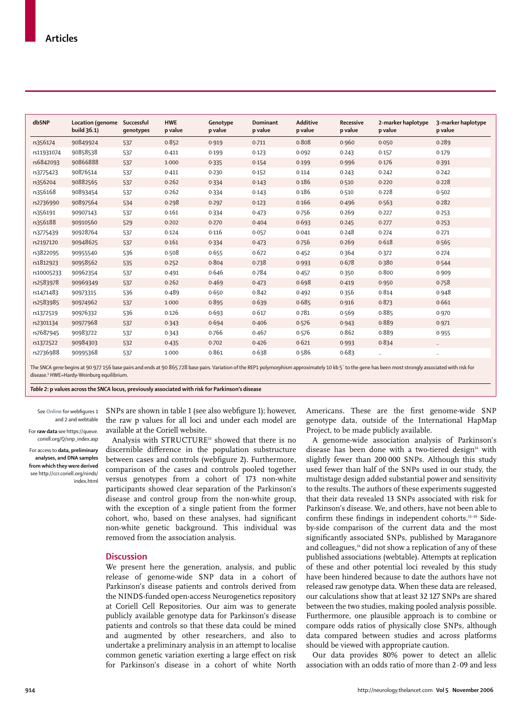| dbSNP      | Location (genome<br>build 36.1) | Successful<br>qenotypes | <b>HWE</b><br>p value | Genotype<br>p value | Dominant<br>p value | Additive<br>p value | Recessive<br>p value | 2-marker haplotype<br>p value | 3-marker haplotype<br>p value |
|------------|---------------------------------|-------------------------|-----------------------|---------------------|---------------------|---------------------|----------------------|-------------------------------|-------------------------------|
| rs356174   | 90849924                        | 537                     | 0.852                 | 0.919               | 0.711               | 0.808               | 0.960                | 0.050                         | 0.289                         |
| rs11931074 | 90858538                        | 537                     | 0.411                 | 0.199               | 0.123               | 0.092               | 0.243                | 0.157                         | 0.179                         |
| rs6842093  | 90866888                        | 537                     | 1.000                 | 0.335               | 0.154               | 0.199               | 0.996                | 0.176                         | 0.391                         |
| rs3775423  | 90876514                        | 537                     | 0.411                 | 0.230               | 0.152               | 0.114               | 0.243                | 0.242                         | 0.242                         |
| rs356204   | 90882565                        | 537                     | 0.262                 | 0.334               | 0.143               | 0.186               | 0.510                | 0.220                         | 0.228                         |
| rs356168   | 90893454                        | 537                     | 0.262                 | 0.334               | 0.143               | 0.186               | 0.510                | 0.228                         | 0.502                         |
| rs2736990  | 90897564                        | 534                     | 0.298                 | 0.297               | 0.123               | 0.166               | 0.496                | 0.563                         | 0.282                         |
| rs356191   | 90907143                        | 537                     | 0.161                 | 0.334               | 0.473               | 0.756               | 0.269                | 0.227                         | 0.253                         |
| rs356188   | 90910560                        | 529                     | 0.202                 | 0.270               | 0.404               | 0.693               | 0.245                | 0.277                         | 0.253                         |
| rs3775439  | 90928764                        | 537                     | 0.124                 | 0.116               | 0.057               | 0.041               | 0.248                | 0.274                         | 0.271                         |
| rs2197120  | 90948625                        | 537                     | 0.161                 | 0.334               | 0.473               | 0.756               | 0.269                | 0.618                         | 0.565                         |
| rs3822095  | 90955540                        | 536                     | 0.508                 | 0.655               | 0.672               | 0.452               | 0.364                | 0.372                         | 0.274                         |
| rs1812923  | 90958562                        | 535                     | 0.252                 | 0.804               | 0.738               | 0.993               | 0.678                | 0.380                         | 0.544                         |
| rs10005233 | 90962354                        | 537                     | 0.491                 | 0.646               | 0.784               | 0.457               | 0.350                | 0.800                         | 0.909                         |
| rs2583978  | 90969349                        | 537                     | 0.262                 | 0.469               | 0.473               | 0.698               | 0.419                | 0.950                         | 0.758                         |
| rs1471483  | 90973315                        | 536                     | 0.489                 | 0.650               | 0.842               | 0.492               | 0.356                | 0.814                         | 0.948                         |
| rs2583985  | 90974962                        | 537                     | 1.000                 | 0.895               | 0.639               | 0.685               | 0.916                | 0.873                         | 0.661                         |
| rs1372519  | 90976332                        | 536                     | 0.126                 | 0.693               | 0.617               | 0.781               | 0.569                | 0.885                         | 0.970                         |
| rs2301134  | 90977968                        | 537                     | 0.343                 | 0.694               | 0.406               | 0.576               | 0.943                | 0.889                         | 0.971                         |
| rs7687945  | 90983722                        | 537                     | 0.343                 | 0.766               | 0.467               | 0.576               | 0.862                | 0.889                         | 0.955                         |
| rs1372522  | 90984303                        | 532                     | 0.435                 | 0.702               | 0.426               | 0.621               | 0.993                | 0.834                         | $\ldots$                      |
| rs2736988  | 90995368                        | 537                     | 1.000                 | 0.861               | 0.638               | 0.586               | 0.683                | $\ddotsc$                     | $\ddotsc$                     |

The SNCA gene begins at 90 977 156 base pairs and ends at 90 865 728 base pairs. Variation of the REP1 polymorphism approximately 10 kb 5' to the gene has been most strongly associated with risk for disease.9 HWE=Hardy-Weinburg equilibrium.

*Table 2***: p values across the** *SNCA* **locus, previously associated with risk for Parkinson's disease**

See Online for webfigures 1 and 2 and webtable

For **raw data** see https://queue. coriell.org/Q/snp\_index.asp

For access to **data, preliminary analyses, and DNA samples from which they were derived** see http://ccr.coriell.org/ninds/ index.html

SNPs are shown in table 1 (see also webfigure 1); however, the raw p values for all loci and under each model are available at the Coriell website.

Analysis with STRUCTURE13 showed that there is no discernible difference in the population substructure between cases and controls (webfigure 2). Furthermore, comparison of the cases and controls pooled together versus genotypes from a cohort of 173 non-white participants showed clear separation of the Parkinson's disease and control group from the non-white group, with the exception of a single patient from the former cohort, who, based on these analyses, had significant non-white genetic background. This individual was removed from the association analysis.

## **Discussion**

We present here the generation, analysis, and public release of genome-wide SNP data in a cohort of Parkinson's disease patients and controls derived from the NINDS-funded open-access Neurogenetics repository at Coriell Cell Repositories. Our aim was to generate publicly available genotype data for Parkinson's disease patients and controls so that these data could be mined and augmented by other researchers, and also to undertake a preliminary analysis in an attempt to localise common genetic variation exerting a large effect on risk for Parkinson's disease in a cohort of white North

Americans. These are the first genome-wide SNP genotype data, outside of the International HapMap Project, to be made publicly available.

A genome-wide association analysis of Parkinson's disease has been done with a two-tiered design $14$  with slightly fewer than 200 000 SNPs. Although this study used fewer than half of the SNPs used in our study, the multistage design added substantial power and sensitivity to the results. The authors of these experiments suggested that their data revealed 13 SNPs associated with risk for Parkinson's disease. We, and others, have not been able to confirm these findings in independent cohorts.<sup>15-19</sup> Sideby-side comparison of the current data and the most significantly associated SNPs, published by Maraganore and colleagues,<sup>14</sup> did not show a replication of any of these published associations (webtable). Attempts at replication of these and other potential loci revealed by this study have been hindered because to date the authors have not released raw genotype data. When these data are released, our calculations show that at least 32 127 SNPs are shared between the two studies, making pooled analysis possible. Furthermore, one plausible approach is to combine or compare odds ratios of physically close SNPs, although data compared between studies and across platforms should be viewed with appropriate caution.

Our data provides 80% power to detect an allelic association with an odds ratio of more than 2·09 and less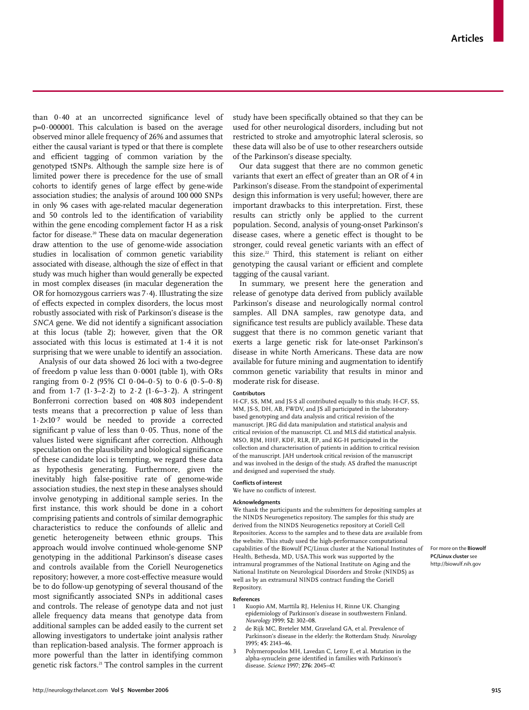than  $0.40$  at an uncorrected significance level of  $p=0.000001$ . This calculation is based on the average observed minor allele frequency of 26% and assumes that either the causal variant is typed or that there is complete and efficient tagging of common variation by the genotyped tSNPs. Although the sample size here is of limited power there is precedence for the use of small cohorts to identify genes of large effect by gene-wide association studies; the analysis of around 100 000 SNPs in only 96 cases with age-related macular degeneration and 50 controls led to the identification of variability within the gene encoding complement factor H as a risk factor for disease.<sup>20</sup> These data on macular degeneration draw attention to the use of genome-wide association studies in localisation of common genetic variability associated with disease, although the size of effect in that study was much higher than would generally be expected in most complex diseases (in macular degeneration the OR for homozygous carriers was 7·4). Illustrating the size of effects expected in complex disorders, the locus most robustly associated with risk of Parkinson's disease is the *SNCA* gene. We did not identify a significant association at this locus (table 2); however, given that the OR associated with this locus is estimated at 1·4 it is not surprising that we were unable to identify an association.

Analysis of our data showed 26 loci with a two-degree of freedom p value less than 0·0001 (table 1), with ORs ranging from  $0.2$  (95% CI  $0.04-0.5$ ) to  $0.6$  (0.5-0.8) and from  $1.7$   $(1.3-2.2)$  to  $2.2$   $(1.6-3.2)$ . A stringent Bonferroni correction based on 408 803 independent tests means that a precorrection p value of less than 1·2×10– ⁷ would be needed to provide a corrected significant p value of less than  $0.05$ . Thus, none of the values listed were significant after correction. Although speculation on the plausibility and biological significance of these candidate loci is tempting, we regard these data as hypothesis generating. Furthermore, given the inevitably high false-positive rate of genome-wide association studies, the next step in these analyses should involve genotyping in additional sample series. In the first instance, this work should be done in a cohort comprising patients and controls of similar demographic characteristics to reduce the confounds of allelic and genetic heterogeneity between ethnic groups. This approach would involve continued whole-genome SNP genotyping in the additional Parkinson's disease cases and controls available from the Coriell Neurogenetics repository; however, a more cost-effective measure would be to do follow-up genotyping of several thousand of the most significantly associated SNPs in additional cases and controls. The release of genotype data and not just allele frequency data means that genotype data from additional samples can be added easily to the current set allowing investigators to undertake joint analysis rather than replication-based analysis. The former approach is more powerful than the latter in identifying common genetic risk factors.21 The control samples in the current

study have been specifically obtained so that they can be used for other neurological disorders, including but not restricted to stroke and amyotrophic lateral sclerosis, so these data will also be of use to other researchers outside of the Parkinson's disease specialty.

Our data suggest that there are no common genetic variants that exert an effect of greater than an OR of 4 in Parkinson's disease. From the standpoint of experimental design this information is very useful; however, there are important drawbacks to this interpretation. First, these results can strictly only be applied to the current population. Second, analysis of young-onset Parkinson's disease cases, where a genetic effect is thought to be stronger, could reveal genetic variants with an effect of this size.22 Third, this statement is reliant on either genotyping the causal variant or efficient and complete tagging of the causal variant.

In summary, we present here the generation and release of genotype data derived from publicly available Parkinson's disease and neurologically normal control samples. All DNA samples, raw genotype data, and significance test results are publicly available. These data suggest that there is no common genetic variant that exerts a large genetic risk for late-onset Parkinson's disease in white North Americans. These data are now available for future mining and augmentation to identify common genetic variability that results in minor and moderate risk for disease.

#### **Contributors**

H-CF, SS, MM, and JS-S all contributed equally to this study. H-CF, SS, MM, JS-S, DH, AB, FWDV, and JS all participated in the laboratorybased genotyping and data analysis and critical revision of the manuscript. JRG did data manipulation and statistical analysis and critical revision of the manuscript. CL and MLS did statistical analysis. MSO, RJM, HHF, KDF, RLR, EP, and KG-H participated in the collection and characterisation of patients in addition to critical revision of the manuscript. JAH undertook critical revision of the manuscript and was involved in the design of the study. AS drafted the manuscript and designed and supervised the study.

#### **Conflicts of interest**

We have no conflicts of interest.

#### **Acknowledgments**

We thank the participants and the submitters for depositing samples at the NINDS Neurogenetics repository. The samples for this study are derived from the NINDS Neurogenetics repository at Coriell Cell Repositories. Access to the samples and to these data are available from the website. This study used the high-performance computational capabilities of the Biowulf PC/Linux cluster at the National Institutes of Health, Bethesda, MD, USA.This work was supported by the intramural programmes of the National Institute on Aging and the National Institute on Neurological Disorders and Stroke (NINDS) as well as by an extramural NINDS contract funding the Coriell Repository.

#### **References**

- 1 Kuopio AM, Marttila RJ, Helenius H, Rinne UK. Changing epidemiology of Parkinson's disease in southwestern Finland. *Neurology* 1999; **52:** 302–08.
- 2 de Rijk MC, Breteler MM, Graveland GA, et al. Prevalence of Parkinson's disease in the elderly: the Rotterdam Study. *Neurology* 1995; **45:** 2143–46.
- 3 Polymeropoulos MH, Lavedan C, Leroy E, et al. Mutation in the alpha-synuclein gene identified in families with Parkinson's disease. *Science* 1997; **276:** 2045–47.

For more on the **Biowolf PC/Linux cluster** see http://biowulf.nih.gov